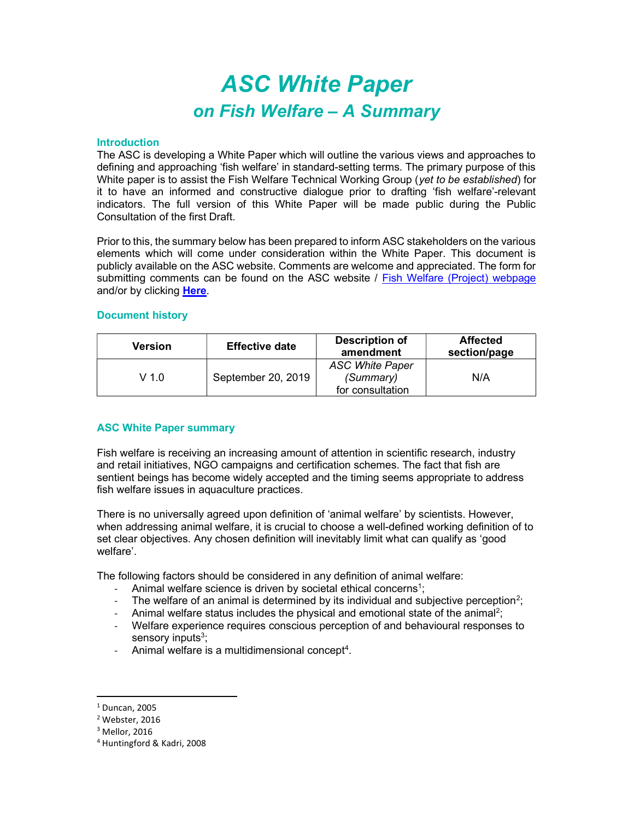# ASC White Paper on Fish Welfare – A Summary

### **Introduction**

The ASC is developing a White Paper which will outline the various views and approaches to defining and approaching 'fish welfare' in standard-setting terms. The primary purpose of this White paper is to assist the Fish Welfare Technical Working Group (yet to be established) for it to have an informed and constructive dialogue prior to drafting 'fish welfare'-relevant indicators. The full version of this White Paper will be made public during the Public Consultation of the first Draft.

Prior to this, the summary below has been prepared to inform ASC stakeholders on the various elements which will come under consideration within the White Paper. This document is publicly available on the ASC website. Comments are welcome and appreciated. The form for submitting comments can be found on the ASC website / Fish Welfare (Project) webpage and/or by clicking Here.

### Document history

| Version | <b>Effective date</b> | <b>Description of</b><br>amendment | <b>Affected</b><br>section/page |
|---------|-----------------------|------------------------------------|---------------------------------|
| $V$ 1.0 | September 20, 2019    | <b>ASC White Paper</b>             |                                 |
|         |                       | (Summary)                          | N/A                             |
|         |                       | for consultation                   |                                 |

## ASC White Paper summary

Fish welfare is receiving an increasing amount of attention in scientific research, industry and retail initiatives, NGO campaigns and certification schemes. The fact that fish are sentient beings has become widely accepted and the timing seems appropriate to address fish welfare issues in aquaculture practices.

There is no universally agreed upon definition of 'animal welfare' by scientists. However, when addressing animal welfare, it is crucial to choose a well-defined working definition of to set clear objectives. Any chosen definition will inevitably limit what can qualify as 'good welfare'.

The following factors should be considered in any definition of animal welfare:

- Animal welfare science is driven by societal ethical concerns<sup>1</sup>;
- The welfare of an animal is determined by its individual and subjective perception<sup>2</sup>;
- Animal welfare status includes the physical and emotional state of the animal<sup>2</sup>;
- Welfare experience requires conscious perception of and behavioural responses to sensory inputs<sup>3</sup>;
- Animal welfare is a multidimensional concept<sup>4</sup>.

<sup>1</sup> Duncan, 2005

<sup>2</sup> Webster, 2016

 $3$  Mellor, 2016

<sup>4</sup> Huntingford & Kadri, 2008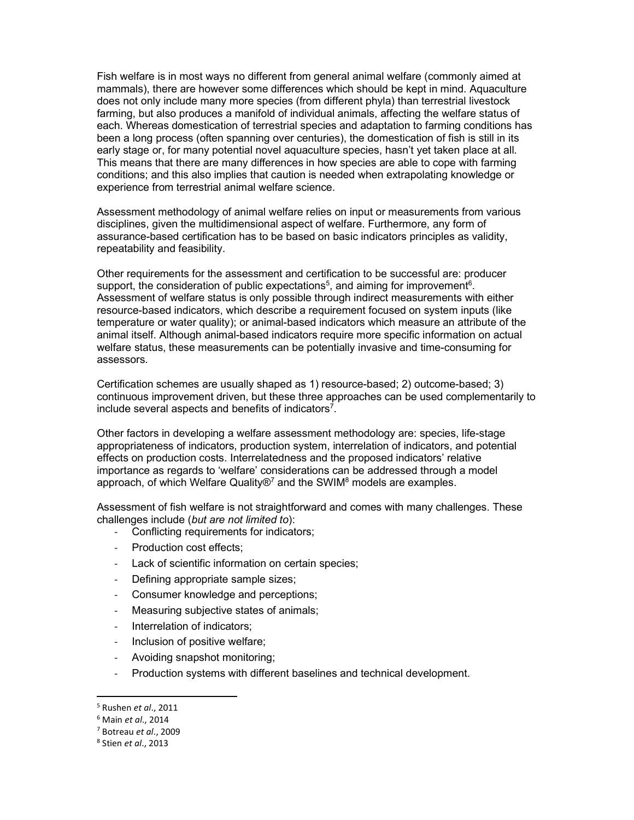Fish welfare is in most ways no different from general animal welfare (commonly aimed at mammals), there are however some differences which should be kept in mind. Aquaculture does not only include many more species (from different phyla) than terrestrial livestock farming, but also produces a manifold of individual animals, affecting the welfare status of each. Whereas domestication of terrestrial species and adaptation to farming conditions has been a long process (often spanning over centuries), the domestication of fish is still in its early stage or, for many potential novel aquaculture species, hasn't yet taken place at all. This means that there are many differences in how species are able to cope with farming conditions; and this also implies that caution is needed when extrapolating knowledge or experience from terrestrial animal welfare science.

Assessment methodology of animal welfare relies on input or measurements from various disciplines, given the multidimensional aspect of welfare. Furthermore, any form of assurance-based certification has to be based on basic indicators principles as validity, repeatability and feasibility.

Other requirements for the assessment and certification to be successful are: producer support, the consideration of public expectations<sup>5</sup>, and aiming for improvement<sup>6</sup>. Assessment of welfare status is only possible through indirect measurements with either resource-based indicators, which describe a requirement focused on system inputs (like temperature or water quality); or animal-based indicators which measure an attribute of the animal itself. Although animal-based indicators require more specific information on actual welfare status, these measurements can be potentially invasive and time-consuming for assessors.

Certification schemes are usually shaped as 1) resource-based; 2) outcome-based; 3) continuous improvement driven, but these three approaches can be used complementarily to include several aspects and benefits of indicators<sup>7</sup>.

Other factors in developing a welfare assessment methodology are: species, life-stage appropriateness of indicators, production system, interrelation of indicators, and potential effects on production costs. Interrelatedness and the proposed indicators' relative importance as regards to 'welfare' considerations can be addressed through a model approach, of which Welfare Quality®<sup>7</sup> and the SWIM<sup>8</sup> models are examples.

Assessment of fish welfare is not straightforward and comes with many challenges. These challenges include (but are not limited to):

- Conflicting requirements for indicators;
- Production cost effects;
- Lack of scientific information on certain species;
- Defining appropriate sample sizes;
- Consumer knowledge and perceptions;
- Measuring subjective states of animals;
- Interrelation of indicators;
- Inclusion of positive welfare;
- Avoiding snapshot monitoring;
- Production systems with different baselines and technical development.

<sup>&</sup>lt;sup>5</sup> Rushen *et al.*, 2011

<sup>&</sup>lt;sup>6</sup> Main *et al.*, 2014

<sup>7</sup> Botreau et al., 2009

<sup>&</sup>lt;sup>8</sup> Stien et al., 2013